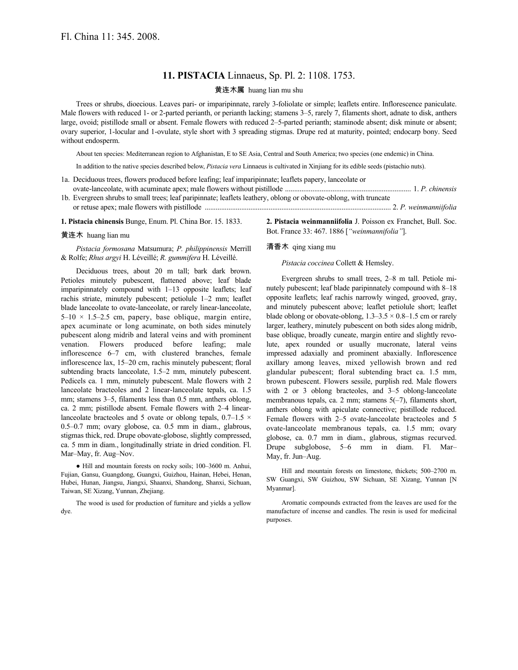# **11. PISTACIA** Linnaeus, Sp. Pl. 2: 1108. 1753.

### 黄连木属 huang lian mu shu

Trees or shrubs, dioecious. Leaves pari- or imparipinnate, rarely 3-foliolate or simple; leaflets entire. Inflorescence paniculate. Male flowers with reduced 1- or 2-parted perianth, or perianth lacking; stamens 3–5, rarely 7, filaments short, adnate to disk, anthers large, ovoid; pistillode small or absent. Female flowers with reduced 2–5-parted perianth; staminode absent; disk minute or absent; ovary superior, 1-locular and 1-ovulate, style short with 3 spreading stigmas. Drupe red at maturity, pointed; endocarp bony. Seed without endosperm.

About ten species: Mediterranean region to Afghanistan, E to SE Asia, Central and South America; two species (one endemic) in China.

In addition to the native species described below, *Pistacia vera* Linnaeus is cultivated in Xinjiang for its edible seeds (pistachio nuts).

- 1a. Deciduous trees, flowers produced before leafing; leaf imparipinnate; leaflets papery, lanceolate or ovate-lanceolate, with acuminate apex; male flowers without pistillode ..................................................................... 1. *P. chinensis*
- 1b. Evergreen shrubs to small trees; leaf paripinnate; leaflets leathery, oblong or obovate-oblong, with truncate or retuse apex; male flowers with pistillode ...................................................................................................... 2. *P. weinmanniifolia*

**1. Pistacia chinensis** Bunge, Enum. Pl. China Bor. 15. 1833.

**2. Pistacia weinmanniifolia** J. Poisson ex Franchet, Bull. Soc. Bot. France 33: 467. 1886 [*"weinmannifolia"*].

### 黄连木 huang lian mu

## *Pistacia formosana* Matsumura; *P. philippinensis* Merrill & Rolfe; *Rhus argyi* H. Léveillé; *R. gummifera* H. Léveillé.

Deciduous trees, about 20 m tall; bark dark brown. Petioles minutely pubescent, flattened above; leaf blade imparipinnately compound with 1–13 opposite leaflets; leaf rachis striate, minutely pubescent; petiolule 1–2 mm; leaflet blade lanceolate to ovate-lanceolate, or rarely linear-lanceolate,  $5-10 \times 1.5-2.5$  cm, papery, base oblique, margin entire, apex acuminate or long acuminate, on both sides minutely pubescent along midrib and lateral veins and with prominent venation. Flowers produced before leafing; male inflorescence 6–7 cm, with clustered branches, female inflorescence lax, 15–20 cm, rachis minutely pubescent; floral subtending bracts lanceolate, 1.5–2 mm, minutely pubescent. Pedicels ca. 1 mm, minutely pubescent. Male flowers with 2 lanceolate bracteoles and 2 linear-lanceolate tepals, ca. 1.5 mm; stamens 3–5, filaments less than 0.5 mm, anthers oblong, ca. 2 mm; pistillode absent. Female flowers with 2–4 linearlanceolate bracteoles and 5 ovate or oblong tepals,  $0.7-1.5 \times$ 0.5–0.7 mm; ovary globose, ca. 0.5 mm in diam., glabrous, stigmas thick, red. Drupe obovate-globose, slightly compressed, ca. 5 mm in diam., longitudinally striate in dried condition. Fl. Mar–May, fr. Aug–Nov.

● Hill and mountain forests on rocky soils; 100–3600 m. Anhui, Fujian, Gansu, Guangdong, Guangxi, Guizhou, Hainan, Hebei, Henan, Hubei, Hunan, Jiangsu, Jiangxi, Shaanxi, Shandong, Shanxi, Sichuan, Taiwan, SE Xizang, Yunnan, Zhejiang.

The wood is used for production of furniture and yields a yellow dye.

### 清香木 qing xiang mu

#### *Pistacia coccinea* Collett & Hemsley.

Evergreen shrubs to small trees, 2–8 m tall. Petiole minutely pubescent; leaf blade paripinnately compound with 8–18 opposite leaflets; leaf rachis narrowly winged, grooved, gray, and minutely pubescent above; leaflet petiolule short; leaflet blade oblong or obovate-oblong,  $1.3-3.5 \times 0.8-1.5$  cm or rarely larger, leathery, minutely pubescent on both sides along midrib, base oblique, broadly cuneate, margin entire and slightly revolute, apex rounded or usually mucronate, lateral veins impressed adaxially and prominent abaxially. Inflorescence axillary among leaves, mixed yellowish brown and red glandular pubescent; floral subtending bract ca. 1.5 mm, brown pubescent. Flowers sessile, purplish red. Male flowers with 2 or 3 oblong bracteoles, and 3–5 oblong-lanceolate membranous tepals, ca. 2 mm; stamens 5(–7), filaments short, anthers oblong with apiculate connective; pistillode reduced. Female flowers with 2–5 ovate-lanceolate bracteoles and 5 ovate-lanceolate membranous tepals, ca. 1.5 mm; ovary globose, ca. 0.7 mm in diam., glabrous, stigmas recurved. Drupe subglobose, 5–6 mm in diam. Fl. Mar– May, fr. Jun–Aug.

Hill and mountain forests on limestone, thickets; 500–2700 m. SW Guangxi, SW Guizhou, SW Sichuan, SE Xizang, Yunnan [N Myanmar].

Aromatic compounds extracted from the leaves are used for the manufacture of incense and candles. The resin is used for medicinal purposes.